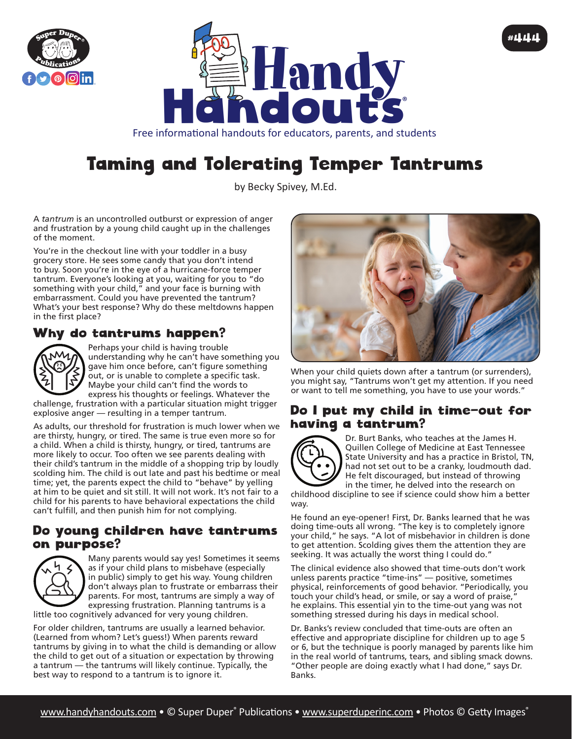



Free informational handouts for educators, parents, and students

# Taming and Tolerating Temper Tantrums

by Becky Spivey, M.Ed.

A *tantrum* is an uncontrolled outburst or expression of anger and frustration by a young child caught up in the challenges of the moment.

You're in the checkout line with your toddler in a busy grocery store. He sees some candy that you don't intend to buy. Soon you're in the eye of a hurricane-force temper tantrum. Everyone's looking at you, waiting for you to "do something with your child," and your face is burning with embarrassment. Could you have prevented the tantrum? What's your best response? Why do these meltdowns happen in the first place?

## Why do tantrums happen?



Perhaps your child is having trouble understanding why he can't have something you gave him once before, can't figure something out, or is unable to complete a specific task. Maybe your child can't find the words to express his thoughts or feelings. Whatever the

challenge, frustration with a particular situation might trigger explosive anger — resulting in a temper tantrum.

As adults, our threshold for frustration is much lower when we are thirsty, hungry, or tired. The same is true even more so for a child. When a child is thirsty, hungry, or tired, tantrums are more likely to occur. Too often we see parents dealing with their child's tantrum in the middle of a shopping trip by loudly scolding him. The child is out late and past his bedtime or meal time; yet, the parents expect the child to "behave" by yelling at him to be quiet and sit still. It will not work. It's not fair to a child for his parents to have behavioral expectations the child can't fulfill, and then punish him for not complying.

#### Do young children have tantrums on purpose?



Many parents would say yes! Sometimes it seems as if your child plans to misbehave (especially in public) simply to get his way. Young children don't always plan to frustrate or embarrass their parents. For most, tantrums are simply a way of expressing frustration. Planning tantrums is a little too cognitively advanced for very young children.

For older children, tantrums are usually a learned behavior. (Learned from whom? Let's guess!) When parents reward tantrums by giving in to what the child is demanding or allow the child to get out of a situation or expectation by throwing a tantrum — the tantrums will likely continue. Typically, the best way to respond to a tantrum is to ignore it.



#444

When your child quiets down after a tantrum (or surrenders), you might say, "Tantrums won't get my attention. If you need or want to tell me something, you have to use your words."

#### Do I put my child in time-out for having a tantrum?



Dr. Burt Banks, who teaches at the James H. Quillen College of Medicine at East Tennessee State University and has a practice in Bristol, TN, had not set out to be a cranky, loudmouth dad. He felt discouraged, but instead of throwing in the timer, he delved into the research on

childhood discipline to see if science could show him a better way.

He found an eye-opener! First, Dr. Banks learned that he was doing time-outs all wrong. "The key is to completely ignore your child," he says. "A lot of misbehavior in children is done to get attention. Scolding gives them the attention they are seeking. It was actually the worst thing I could do."

The clinical evidence also showed that time-outs don't work unless parents practice "time-ins" — positive, sometimes physical, reinforcements of good behavior. "Periodically, you touch your child's head, or smile, or say a word of praise, he explains. This essential yin to the time-out yang was not something stressed during his days in medical school.

Dr. Banks's review concluded that time-outs are often an effective and appropriate discipline for children up to age 5 or 6, but the technique is poorly managed by parents like him in the real world of tantrums, tears, and sibling smack downs. "Other people are doing exactly what I had done," says Dr. Banks.